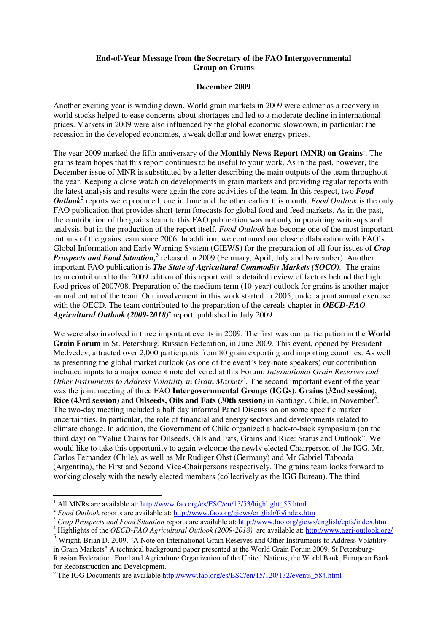## **End-of-Year Message from the Secretary of the FAO Intergovernmental Group on Grains**

## **December 2009**

Another exciting year is winding down. World grain markets in 2009 were calmer as a recovery in world stocks helped to ease concerns about shortages and led to a moderate decline in international prices. Markets in 2009 were also influenced by the global economic slowdown, in particular: the recession in the developed economies, a weak dollar and lower energy prices.

The year 2009 marked the fifth anniversary of the **Monthly News Report (MNR) on Grains**<sup>1</sup>. The grains team hopes that this report continues to be useful to your work. As in the past, however, the December issue of MNR is substituted by a letter describing the main outputs of the team throughout the year. Keeping a close watch on developments in grain markets and providing regular reports with the latest analysis and results were again the core activities of the team. In this respect, two *Food Outlook*<sup>2</sup> reports were produced, one in June and the other earlier this month. *Food Outlook* is the only FAO publication that provides short-term forecasts for global food and feed markets. As in the past, the contribution of the grains team to this FAO publication was not only in providing write-ups and analysis, but in the production of the report itself. *Food Outlook* has become one of the most important outputs of the grains team since 2006. In addition, we continued our close collaboration with FAO's Global Information and Early Warning System (GIEWS) for the preparation of all four issues of *Crop*  Prospects and Food Situation,<sup>3</sup> released in 2009 (February, April, July and November). Another important FAO publication is *The State of Agricultural Commodity Markets (SOCO).* The grains team contributed to the 2009 edition of this report with a detailed review of factors behind the high food prices of 2007/08. Preparation of the medium-term (10-year) outlook for grains is another major annual output of the team. Our involvement in this work started in 2005, under a joint annual exercise with the OECD. The team contributed to the preparation of the cereals chapter in *OECD-FAO*  Agricultural Outlook (2009-2018)<sup>4</sup> report, published in July 2009.

We were also involved in three important events in 2009. The first was our participation in the **World Grain Forum** in St. Petersburg, Russian Federation, in June 2009. This event, opened by President Medvedev, attracted over 2,000 participants from 80 grain exporting and importing countries. As well as presenting the global market outlook (as one of the event's key-note speakers) our contribution included inputs to a major concept note delivered at this Forum: *International Grain Reserves and*  Other Instruments to Address Volatility in Grain Markets<sup>5</sup>. The second important event of the year was the joint meeting of three FAO **Intergovernmental Groups (IGGs)**: **Grains (32nd session)**, Rice (43rd session) and Oilseeds, Oils and Fats (30th session) in Santiago, Chile, in November<sup>6</sup>. The two-day meeting included a half day informal Panel Discussion on some specific market uncertainties. In particular, the role of financial and energy sectors and developments related to climate change. In addition, the Government of Chile organized a back-to-back symposium (on the third day) on "Value Chains for Oilseeds, Oils and Fats, Grains and Rice: Status and Outlook". We would like to take this opportunity to again welcome the newly elected Chairperson of the IGG, Mr. Carlos Fernandez (Chile), as well as Mr Rudiger Ohst (Germany) and Mr Gabriel Taboada (Argentina), the First and Second Vice-Chairpersons respectively. The grains team looks forward to working closely with the newly elected members (collectively as the IGG Bureau). The third

<sup>&</sup>lt;sup>1</sup> All MNRs are available at: http://www.fao.org/es/ESC/en/15/53/highlight\_55.html

<sup>&</sup>lt;sup>2</sup> *Food Outlook* reports are available at: http://www.fao.org/giews/english/fo/index.htm

<sup>&</sup>lt;sup>3</sup> Crop Prospects and Food Situation reports are available at: http://www.fao.org/giews/english/cpfs/index.htm

<sup>&</sup>lt;sup>4</sup> Highlights of the *OECD-FAO Agricultural Outlook (2009-2018)* are available at: http://www.agri-outlook.org/

<sup>5</sup> Wright, Brian D. 2009. "A Note on International Grain Reserves and Other Instruments to Address Volatility in Grain Markets" A technical background paper presented at the World Grain Forum 2009. St Petersburg-Russian Federation. Food and Agriculture Organization of the United Nations, the World Bank, European Bank for Reconstruction and Development.

<sup>&</sup>lt;sup>6</sup> The IGG Documents are available http://www.fao.org/es/ESC/en/15/120/132/events\_584.html